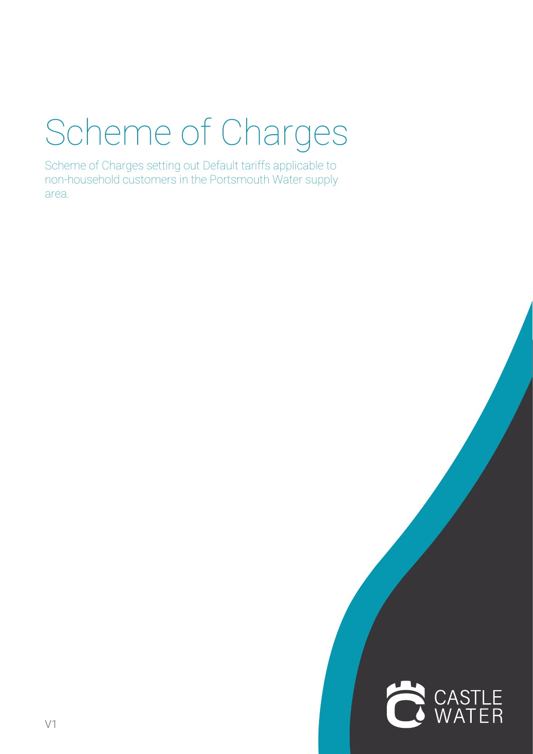# Scheme of Charges

Scheme of Charges setting out Default tariffs applicable to non-household customers in the Portsmouth Water supply area.

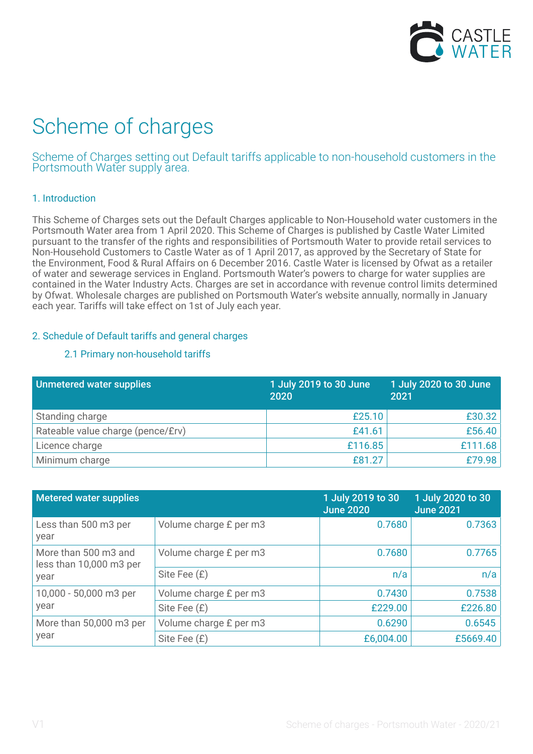

# Scheme of charges

Scheme of Charges setting out Default tariffs applicable to non-household customers in the Portsmouth Water supply area.

# 1. Introduction

This Scheme of Charges sets out the Default Charges applicable to Non-Household water customers in the Portsmouth Water area from 1 April 2020. This Scheme of Charges is published by Castle Water Limited pursuant to the transfer of the rights and responsibilities of Portsmouth Water to provide retail services to Non-Household Customers to Castle Water as of 1 April 2017, as approved by the Secretary of State for the Environment, Food & Rural Affairs on 6 December 2016. Castle Water is licensed by Ofwat as a retailer of water and sewerage services in England. Portsmouth Water's powers to charge for water supplies are contained in the Water Industry Acts. Charges are set in accordance with revenue control limits determined by Ofwat. Wholesale charges are published on Portsmouth Water's website annually, normally in January each year. Tariffs will take effect on 1st of July each year.

# 2. Schedule of Default tariffs and general charges

# 2.1 Primary non-household tariffs

| Unmetered water supplies          | 1 July 2019 to 30 June<br>2020 | 1 July 2020 to 30 June<br>2021 |
|-----------------------------------|--------------------------------|--------------------------------|
| Standing charge                   | £25.10                         | E30.32                         |
| Rateable value charge (pence/£rv) | £41.61                         | £56.40                         |
| Licence charge                    | £116.85                        | £111.68                        |
| Minimum charge                    | £81.27                         | £79.98                         |

| Metered water supplies                          |                        | 1 July 2019 to 30<br><b>June 2020</b> | 1 July 2020 to 30<br><b>June 2021</b> |
|-------------------------------------------------|------------------------|---------------------------------------|---------------------------------------|
| Less than 500 m3 per<br>year                    | Volume charge £ per m3 | 0.7680                                | 0.7363                                |
| More than 500 m3 and<br>less than 10,000 m3 per | Volume charge £ per m3 | 0.7680                                | 0.7765                                |
| year                                            | Site Fee (£)           | n/a                                   | n/a                                   |
| 10,000 - 50,000 m3 per                          | Volume charge £ per m3 | 0.7430                                | 0.7538                                |
| year                                            | Site Fee (£)           | £229.00                               | £226.80                               |
| More than 50,000 m3 per                         | Volume charge £ per m3 | 0.6290                                | 0.6545                                |
| year                                            | Site Fee (£)           | £6,004.00                             | £5669.40                              |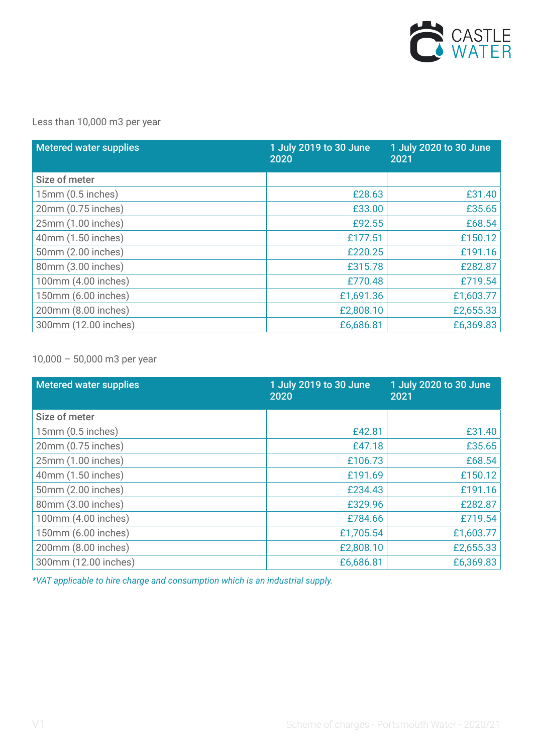

# Less than 10,000 m3 per year

| <b>Metered water supplies</b> | 1 July 2019 to 30 June<br>2020 | 1 July 2020 to 30 June<br>2021 |
|-------------------------------|--------------------------------|--------------------------------|
| Size of meter                 |                                |                                |
| 15mm (0.5 inches)             | £28.63                         | £31.40                         |
| 20mm (0.75 inches)            | £33.00                         | £35.65                         |
| 25mm (1.00 inches)            | £92.55                         | £68.54                         |
| 40mm (1.50 inches)            | £177.51                        | £150.12                        |
| 50mm (2.00 inches)            | £220.25                        | £191.16                        |
| 80mm (3.00 inches)            | £315.78                        | £282.87                        |
| 100mm (4.00 inches)           | £770.48                        | £719.54                        |
| 150mm (6.00 inches)           | £1,691.36                      | £1,603.77                      |
| 200mm (8.00 inches)           | £2,808.10                      | £2,655.33                      |
| 300mm (12.00 inches)          | £6,686.81                      | £6,369.83                      |

10,000 – 50,000 m3 per year

| <b>Metered water supplies</b> | 1 July 2019 to 30 June<br>2020 | 1 July 2020 to 30 June<br>2021 |
|-------------------------------|--------------------------------|--------------------------------|
| Size of meter                 |                                |                                |
| 15mm (0.5 inches)             | £42.81                         | £31.40                         |
| 20mm (0.75 inches)            | £47.18                         | £35.65                         |
| 25mm (1.00 inches)            | £106.73                        | £68.54                         |
| 40mm (1.50 inches)            | £191.69                        | £150.12                        |
| 50mm (2.00 inches)            | £234.43                        | £191.16                        |
| 80mm (3.00 inches)            | £329.96                        | £282.87                        |
| 100mm (4.00 inches)           | £784.66                        | £719.54                        |
| 150mm (6.00 inches)           | £1,705.54                      | £1,603.77                      |
| 200mm (8.00 inches)           | £2,808.10                      | £2,655.33                      |
| 300mm (12.00 inches)          | £6,686.81                      | £6,369.83                      |

*\*VAT applicable to hire charge and consumption which is an industrial supply.*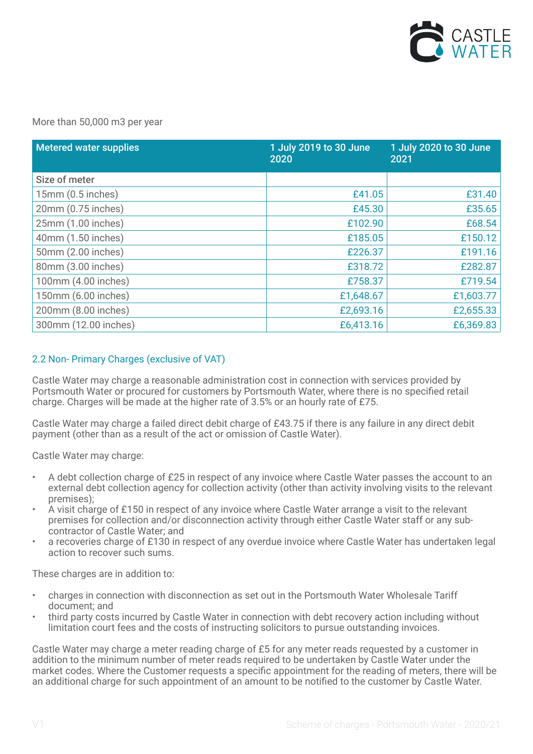

#### More than 50,000 m3 per year

| <b>Metered water supplies</b> | 1 July 2019 to 30 June<br>2020 | 1 July 2020 to 30 June<br>2021 |
|-------------------------------|--------------------------------|--------------------------------|
| Size of meter                 |                                |                                |
| 15mm (0.5 inches)             | £41.05                         | £31.40                         |
| 20mm (0.75 inches)            | £45.30                         | £35.65                         |
| 25mm (1.00 inches)            | £102.90                        | £68.54                         |
| 40mm (1.50 inches)            | £185.05                        | £150.12                        |
| 50mm (2.00 inches)            | £226.37                        | £191.16                        |
| 80mm (3.00 inches)            | £318.72                        | £282.87                        |
| 100mm (4.00 inches)           | £758.37                        | £719.54                        |
| 150mm (6.00 inches)           | £1,648.67                      | £1,603.77                      |
| 200mm (8.00 inches)           | £2,693.16                      | £2,655.33                      |
| 300mm (12.00 inches)          | £6,413.16                      | £6,369.83                      |

## 2.2 Non- Primary Charges (exclusive of VAT)

Castle Water may charge a reasonable administration cost in connection with services provided by Portsmouth Water or procured for customers by Portsmouth Water, where there is no specified retail charge. Charges will be made at the higher rate of 3.5% or an hourly rate of £75.

Castle Water may charge a failed direct debit charge of £43.75 if there is any failure in any direct debit payment (other than as a result of the act or omission of Castle Water).

Castle Water may charge:

- A debt collection charge of £25 in respect of any invoice where Castle Water passes the account to an external debt collection agency for collection activity (other than activity involving visits to the relevant premises);
- A visit charge of £150 in respect of any invoice where Castle Water arrange a visit to the relevant premises for collection and/or disconnection activity through either Castle Water staff or any subcontractor of Castle Water; and
- a recoveries charge of £130 in respect of any overdue invoice where Castle Water has undertaken legal action to recover such sums.

These charges are in addition to:

- charges in connection with disconnection as set out in the Portsmouth Water Wholesale Tariff document; and
- third party costs incurred by Castle Water in connection with debt recovery action including without limitation court fees and the costs of instructing solicitors to pursue outstanding invoices.

Castle Water may charge a meter reading charge of £5 for any meter reads requested by a customer in addition to the minimum number of meter reads required to be undertaken by Castle Water under the market codes. Where the Customer requests a specific appointment for the reading of meters, there will be an additional charge for such appointment of an amount to be notified to the customer by Castle Water.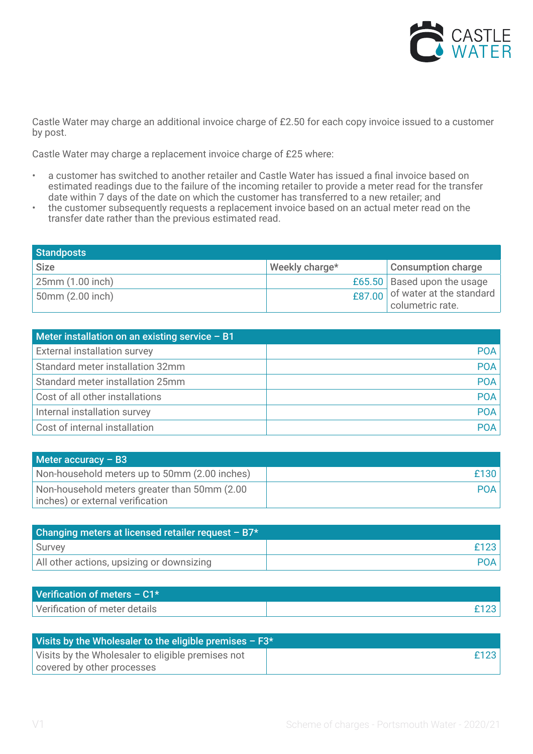

Castle Water may charge an additional invoice charge of £2.50 for each copy invoice issued to a customer by post.

Castle Water may charge a replacement invoice charge of £25 where:

- a customer has switched to another retailer and Castle Water has issued a final invoice based on estimated readings due to the failure of the incoming retailer to provide a meter read for the transfer date within 7 days of the date on which the customer has transferred to a new retailer; and
- the customer subsequently requests a replacement invoice based on an actual meter read on the transfer date rather than the previous estimated read.

| <b>Standposts</b> |                |                                                     |
|-------------------|----------------|-----------------------------------------------------|
| <b>Size</b>       | Weekly charge* | <b>Consumption charge</b>                           |
| 25mm (1.00 inch)  |                | £65.50 Based upon the usage                         |
| 50mm (2.00 inch)  |                | £87.00 of water at the standard<br>columetric rate. |

| Meter installation on an existing service $- B1$ |            |
|--------------------------------------------------|------------|
| <b>External installation survey</b>              | <b>POA</b> |
| Standard meter installation 32mm                 | POA        |
| Standard meter installation 25mm                 | <b>POA</b> |
| Cost of all other installations                  | <b>POA</b> |
| Internal installation survey                     | <b>POA</b> |
| Cost of internal installation                    | POA        |

| Meter accuracy $-$ B3                                                            |            |
|----------------------------------------------------------------------------------|------------|
| Non-household meters up to 50mm (2.00 inches)                                    | £130       |
| Non-household meters greater than 50mm (2.00<br>inches) or external verification | <b>POA</b> |

| Changing meters at licensed retailer request $- B7*$ |      |
|------------------------------------------------------|------|
| Survey                                               | £123 |
| All other actions, upsizing or downsizing            |      |

| Verification of meters $- C1*$ |  |
|--------------------------------|--|
| Verification of meter details  |  |

| Visits by the Wholesaler to the eligible premises $- F3*$ |      |
|-----------------------------------------------------------|------|
| Visits by the Wholesaler to eligible premises not         | £123 |
| covered by other processes                                |      |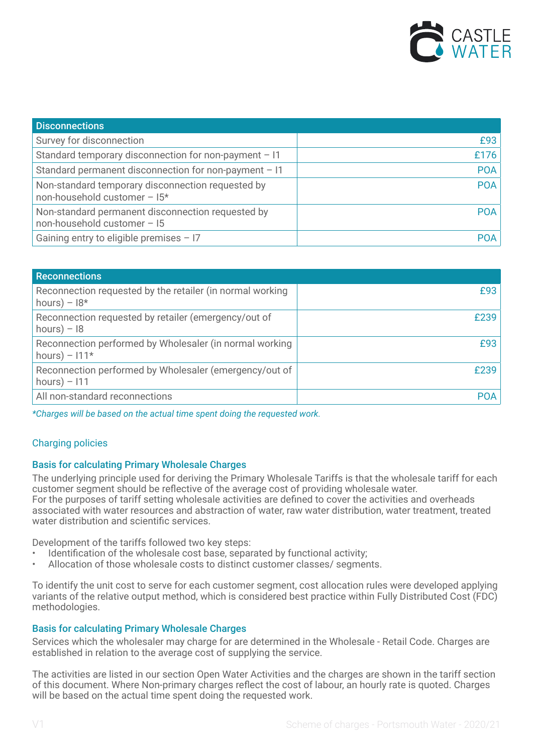

| <b>Disconnections</b>                                                             |            |
|-----------------------------------------------------------------------------------|------------|
| Survey for disconnection                                                          | £93        |
| Standard temporary disconnection for non-payment - I1                             | £176       |
| Standard permanent disconnection for non-payment $-11$                            | <b>POA</b> |
| Non-standard temporary disconnection requested by<br>non-household customer - I5* | <b>POA</b> |
| Non-standard permanent disconnection requested by<br>non-household customer - 15  | <b>POA</b> |
| Gaining entry to eligible premises $-17$                                          | <b>POA</b> |

| <b>Reconnections</b>                                                        |            |
|-----------------------------------------------------------------------------|------------|
| Reconnection requested by the retailer (in normal working<br>hours) – $18*$ | £93        |
| Reconnection requested by retailer (emergency/out of<br>hours) $-18$        | £239       |
| Reconnection performed by Wholesaler (in normal working<br>hours) – $111*$  | £93        |
| Reconnection performed by Wholesaler (emergency/out of<br>hours) $-111$     | £239       |
| All non-standard reconnections                                              | <b>POA</b> |

*\*Charges will be based on the actual time spent doing the requested work.*

# Charging policies

## Basis for calculating Primary Wholesale Charges

The underlying principle used for deriving the Primary Wholesale Tariffs is that the wholesale tariff for each customer segment should be reflective of the average cost of providing wholesale water. For the purposes of tariff setting wholesale activities are defined to cover the activities and overheads associated with water resources and abstraction of water, raw water distribution, water treatment, treated water distribution and scientific services.

Development of the tariffs followed two key steps:

- Identification of the wholesale cost base, separated by functional activity;
- Allocation of those wholesale costs to distinct customer classes/ segments.

To identify the unit cost to serve for each customer segment, cost allocation rules were developed applying variants of the relative output method, which is considered best practice within Fully Distributed Cost (FDC) methodologies.

#### Basis for calculating Primary Wholesale Charges

Services which the wholesaler may charge for are determined in the Wholesale - Retail Code. Charges are established in relation to the average cost of supplying the service.

The activities are listed in our section Open Water Activities and the charges are shown in the tariff section of this document. Where Non-primary charges reflect the cost of labour, an hourly rate is quoted. Charges will be based on the actual time spent doing the requested work.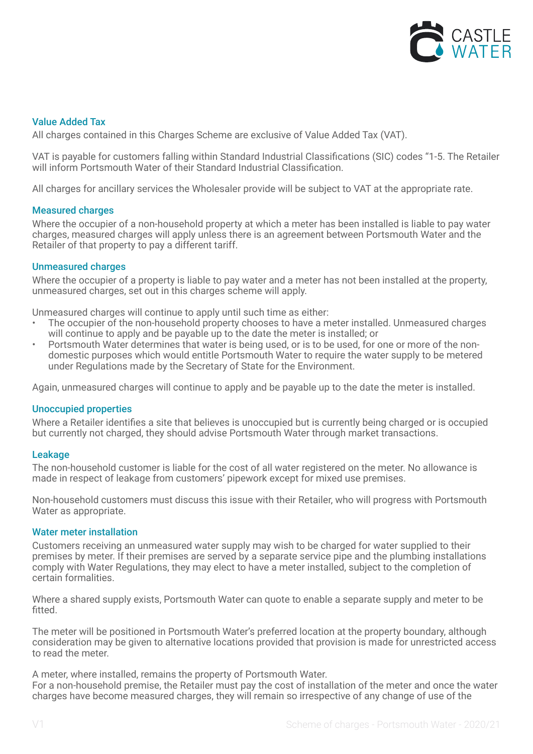

# Value Added Tax

All charges contained in this Charges Scheme are exclusive of Value Added Tax (VAT).

VAT is payable for customers falling within Standard Industrial Classifications (SIC) codes "1-5. The Retailer will inform Portsmouth Water of their Standard Industrial Classification.

All charges for ancillary services the Wholesaler provide will be subject to VAT at the appropriate rate.

#### Measured charges

Where the occupier of a non-household property at which a meter has been installed is liable to pay water charges, measured charges will apply unless there is an agreement between Portsmouth Water and the Retailer of that property to pay a different tariff.

#### Unmeasured charges

Where the occupier of a property is liable to pay water and a meter has not been installed at the property, unmeasured charges, set out in this charges scheme will apply.

Unmeasured charges will continue to apply until such time as either:

- The occupier of the non-household property chooses to have a meter installed. Unmeasured charges will continue to apply and be payable up to the date the meter is installed; or
- Portsmouth Water determines that water is being used, or is to be used, for one or more of the nondomestic purposes which would entitle Portsmouth Water to require the water supply to be metered under Regulations made by the Secretary of State for the Environment.

Again, unmeasured charges will continue to apply and be payable up to the date the meter is installed.

#### Unoccupied properties

Where a Retailer identifies a site that believes is unoccupied but is currently being charged or is occupied but currently not charged, they should advise Portsmouth Water through market transactions.

#### Leakage

The non-household customer is liable for the cost of all water registered on the meter. No allowance is made in respect of leakage from customers' pipework except for mixed use premises.

Non-household customers must discuss this issue with their Retailer, who will progress with Portsmouth Water as appropriate.

#### Water meter installation

Customers receiving an unmeasured water supply may wish to be charged for water supplied to their premises by meter. If their premises are served by a separate service pipe and the plumbing installations comply with Water Regulations, they may elect to have a meter installed, subject to the completion of certain formalities.

Where a shared supply exists, Portsmouth Water can quote to enable a separate supply and meter to be fitted.

The meter will be positioned in Portsmouth Water's preferred location at the property boundary, although consideration may be given to alternative locations provided that provision is made for unrestricted access to read the meter.

A meter, where installed, remains the property of Portsmouth Water. For a non-household premise, the Retailer must pay the cost of installation of the meter and once the water charges have become measured charges, they will remain so irrespective of any change of use of the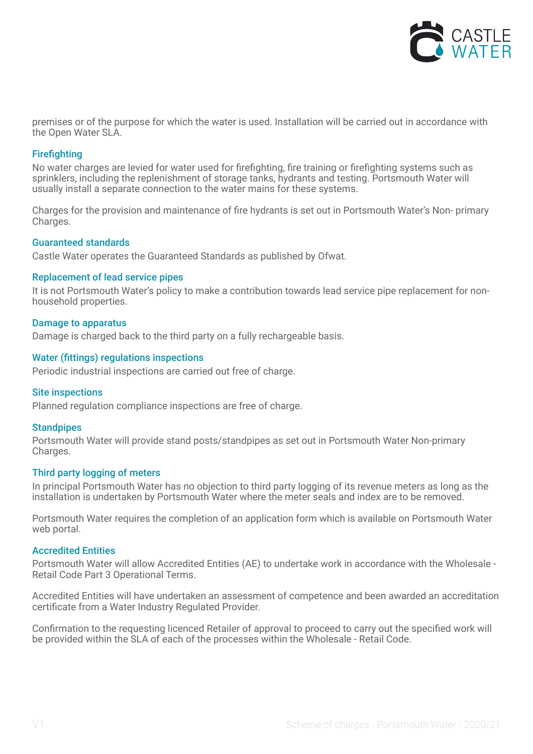

premises or of the purpose for which the water is used. Installation will be carried out in accordance with the Open Water SLA.

#### **Firefighting**

No water charges are levied for water used for firefighting, fire training or firefighting systems such as sprinklers, including the replenishment of storage tanks, hydrants and testing. Portsmouth Water will usually install a separate connection to the water mains for these systems.

Charges for the provision and maintenance of fire hydrants is set out in Portsmouth Water's Non- primary Charges.

#### Guaranteed standards

Castle Water operates the Guaranteed Standards as published by Ofwat.

#### Replacement of lead service pipes

It is not Portsmouth Water's policy to make a contribution towards lead service pipe replacement for nonhousehold properties.

#### Damage to apparatus

Damage is charged back to the third party on a fully rechargeable basis.

#### Water (fittings) regulations inspections

Periodic industrial inspections are carried out free of charge.

#### Site inspections

Planned regulation compliance inspections are free of charge.

#### **Standpipes**

Portsmouth Water will provide stand posts/standpipes as set out in Portsmouth Water Non-primary Charges.

#### Third party logging of meters

In principal Portsmouth Water has no objection to third party logging of its revenue meters as long as the installation is undertaken by Portsmouth Water where the meter seals and index are to be removed.

Portsmouth Water requires the completion of an application form which is available on Portsmouth Water web portal.

#### Accredited Entities

Portsmouth Water will allow Accredited Entities (AE) to undertake work in accordance with the Wholesale - Retail Code Part 3 Operational Terms.

Accredited Entities will have undertaken an assessment of competence and been awarded an accreditation certificate from a Water Industry Regulated Provider.

Confirmation to the requesting licenced Retailer of approval to proceed to carry out the specified work will be provided within the SLA of each of the processes within the Wholesale - Retail Code.